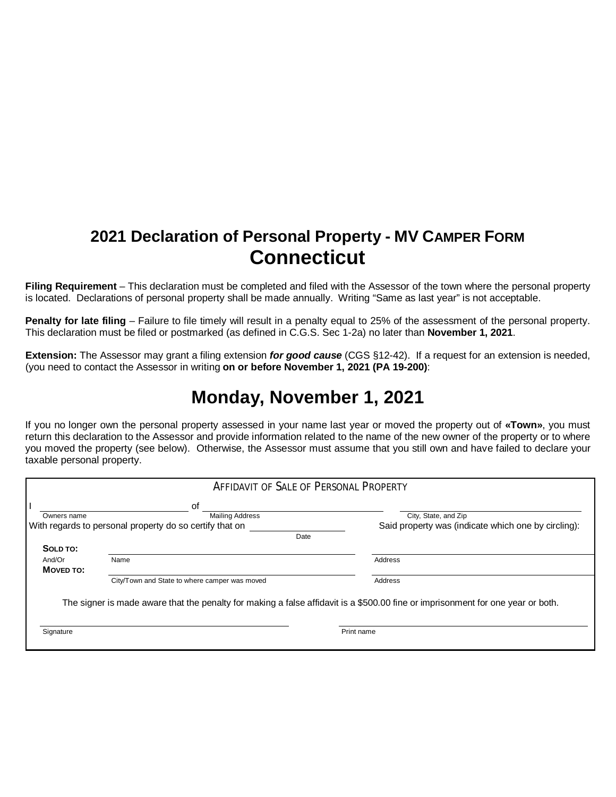## **2021 Declaration of Personal Property - MV CAMPER FORM Connecticut**

**Filing Requirement** – This declaration must be completed and filed with the Assessor of the town where the personal property is located. Declarations of personal property shall be made annually. Writing "Same as last year" is not acceptable.

**Penalty for late filing** – Failure to file timely will result in a penalty equal to 25% of the assessment of the personal property. This declaration must be filed or postmarked (as defined in C.G.S. Sec 1-2a) no later than **November 1, 2021**.

**Extension:** The Assessor may grant a filing extension *for good cause* (CGS §12-42). If a request for an extension is needed, (you need to contact the Assessor in writing **on or before November 1, 2021 (PA 19-200)**:

## **Monday, November 1, 2021**

If you no longer own the personal property assessed in your name last year or moved the property out of **«Town»**, you must return this declaration to the Assessor and provide information related to the name of the new owner of the property or to where you moved the property (see below). Otherwise, the Assessor must assume that you still own and have failed to declare your taxable personal property.

|                     | <b>AFFIDAVIT OF SALE OF PERSONAL PROPERTY</b>                   |                                                                                                                                 |
|---------------------|-----------------------------------------------------------------|---------------------------------------------------------------------------------------------------------------------------------|
| Owners name         | οf<br><b>Mailing Address</b>                                    | City, State, and Zip                                                                                                            |
|                     | With regards to personal property do so certify that on<br>Date | Said property was (indicate which one by circling):                                                                             |
| SOLD TO:            |                                                                 |                                                                                                                                 |
| And/Or<br>MOVED TO: | Name                                                            | Address                                                                                                                         |
|                     | City/Town and State to where camper was moved                   | Address                                                                                                                         |
|                     |                                                                 | The signer is made aware that the penalty for making a false affidavit is a \$500.00 fine or imprisonment for one year or both. |
| Signature           |                                                                 | Print name                                                                                                                      |